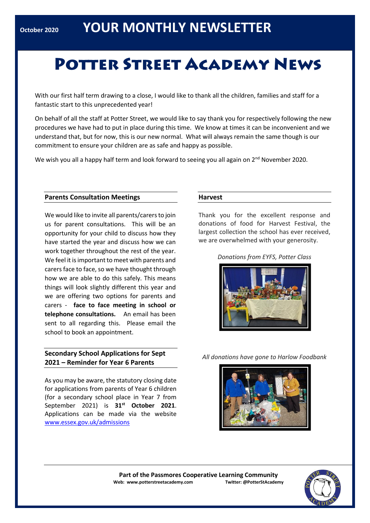# **POTTER STREET ACADEMY NEWS**

With our first half term drawing to a close, I would like to thank all the children, families and staff for a fantastic start to this unprecedented year!

On behalf of all the staff at Potter Street, we would like to say thank you for respectively following the new procedures we have had to put in place during this time. We know at times it can be inconvenient and we understand that, but for now, this is our new normal. What will always remain the same though is our commitment to ensure your children are as safe and happy as possible.

We wish you all a happy half term and look forward to seeing you all again on 2<sup>nd</sup> November 2020.

#### **Parents Consultation Meetings**

We would like to invite all parents/carers to join us for parent consultations. This will be an opportunity for your child to discuss how they have started the year and discuss how we can work together throughout the rest of the year. We feel it is important to meet with parents and carers face to face, so we have thought through how we are able to do this safely. This means things will look slightly different this year and we are offering two options for parents and carers - **face to face meeting in school or telephone consultations.** An email has been sent to all regarding this. Please email the school to book an appointment.

# **Secondary School Applications for Sept 2021 – Reminder for Year 6 Parents**

As you may be aware, the statutory closing date for applications from parents of Year 6 children (for a secondary school place in Year 7 from September 2021) is **31st October 2021**. Applications can be made via the website [www.essex.gov.uk/admissions](http://www.essex.gov.uk/admissions)

#### **Harvest**

Thank you for the excellent response and donations of food for Harvest Festival, the largest collection the school has ever received, we are overwhelmed with your generosity.

*Donations from EYFS, Potter Class*



*All donations have gone to Harlow Foodbank*



**Part of the Passmores Cooperative Learning Community Web: www.potterstreetacademy.com Twitter: @PotterStAcademy**

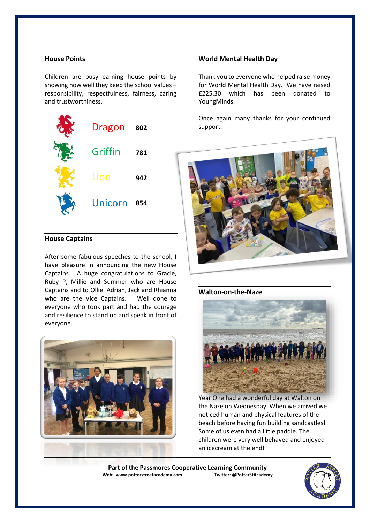# **House Points**

Children are busy earning house points by showing how well they keep the school values – responsibility, respectfulness, fairness, caring and trustworthiness.



#### **House Captains**

After some fabulous speeches to the school, I have pleasure in announcing the new House Captains. A huge congratulations to Gracie, Ruby P, Millie and Summer who are House Captains and to Ollie, Adrian, Jack and Rhianna who are the Vice Captains. Well done to everyone who took part and had the courage and resilience to stand up and speak in front of everyone.



#### **World Mental Health Day**

Thank you to everyone who helped raise money for World Mental Health Day. We have raised £225.30 which has been donated to YoungMinds.

Once again many thanks for your continued support.



## **Walton-on-the-Naze**



Year One had a wonderful day at Walton on the Naze on Wednesday. When we arrived we noticed human and physical features of the beach before having fun building sandcastles! Some of us even had a little paddle. The children were very well behaved and enjoyed an icecream at the end!

**Part of the Passmores Cooperative Learning Community**<br>eb: www.potterstreetacademy.com Iwitter: @PotterStAcademy **Web: www.potterstreetacademy.com** 

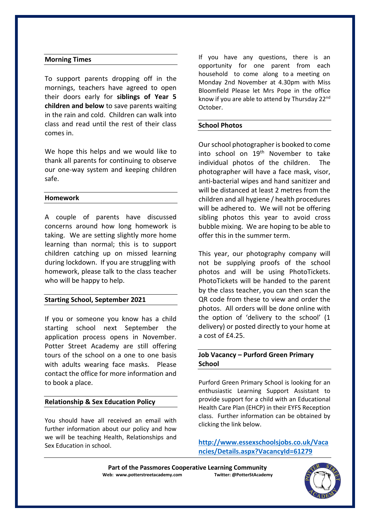## **Morning Times**

To support parents dropping off in the mornings, teachers have agreed to open their doors early for **siblings of Year 5 children and below** to save parents waiting in the rain and cold. Children can walk into class and read until the rest of their class comes in.

We hope this helps and we would like to thank all parents for continuing to observe our one-way system and keeping children safe.

## **Homework**

A couple of parents have discussed concerns around how long homework is taking. We are setting slightly more home learning than normal; this is to support children catching up on missed learning during lockdown. If you are struggling with homework, please talk to the class teacher who will be happy to help.

## **Starting School, September 2021**

If you or someone you know has a child starting school next September the application process opens in November. Potter Street Academy are still offering tours of the school on a one to one basis with adults wearing face masks. Please contact the office for more information and to book a place.

## **Relationship & Sex Education Policy**

You should have all received an email with further information about our policy and how we will be teaching Health, Relationships and Sex Education in school.

If you have any questions, there is an opportunity for one parent from each household to come along to a meeting on Monday 2nd November at 4.30pm with Miss Bloomfield Please let Mrs Pope in the office know if you are able to attend by Thursday 22<sup>nd</sup> October.

## **School Photos**

Our school photographer is booked to come into school on 19<sup>th</sup> November to take individual photos of the children. The photographer will have a face mask, visor, anti-bacterial wipes and hand sanitizer and will be distanced at least 2 metres from the children and all hygiene / health procedures will be adhered to. We will not be offering sibling photos this year to avoid cross bubble mixing. We are hoping to be able to offer this in the summer term.

This year, our photography company will not be supplying proofs of the school photos and will be using PhotoTickets. PhotoTickets will be handed to the parent by the class teacher, you can then scan the QR code from these to view and order the photos. All orders will be done online with the option of 'delivery to the school' (1 delivery) or posted directly to your home at a cost of £4.25.

# **Job Vacancy – Purford Green Primary School**

Purford Green Primary School is looking for an enthusiastic Learning Support Assistant to provide support for a child with an Educational Health Care Plan (EHCP) in their EYFS Reception class. Further information can be obtained by clicking the link below.

**[http://www.essexschoolsjobs.co.uk/Vaca](http://www.essexschoolsjobs.co.uk/Vacancies/Details.aspx?VacancyId=61279) [ncies/Details.aspx?VacancyId=61279](http://www.essexschoolsjobs.co.uk/Vacancies/Details.aspx?VacancyId=61279)**

Part of the Passmores Cooperative Learning Community<br>eb: www.potterstreetacademy.com **Twitter:** @PotterStAcademy **Web: www.potterstreetacademy.com** 

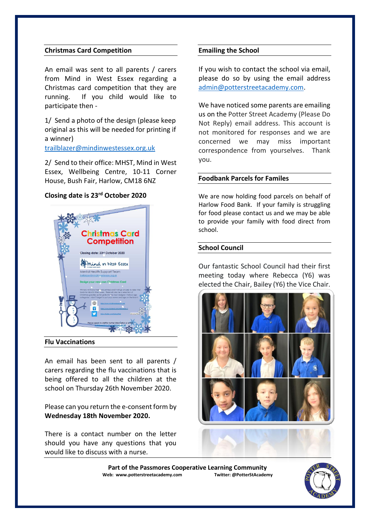## **Christmas Card Competition**

An email was sent to all parents / carers from Mind in West Essex regarding a Christmas card competition that they are running. If you child would like to participate then -

1/ Send a photo of the design (please keep original as this will be needed for printing if a winner)

[trailblazer@mindinwestessex.org.uk](mailto:trailblazer@mindinwestessex.org.uk)

2/ Send to their office: MHST, Mind in West Essex, Wellbeing Centre, 10-11 Corner House, Bush Fair, Harlow, CM18 6NZ

## **Closing date is 23rd October 2020**



**Flu Vaccinations**

An email has been sent to all parents / carers regarding the flu vaccinations that is being offered to all the children at the school on Thursday 26th November 2020.

Please can you return the e-consent form by **Wednesday 18th November 2020.** 

There is a contact number on the letter should you have any questions that you would like to discuss with a nurse.

#### **Emailing the School**

If you wish to contact the school via email, please do so by using the email address [admin@potterstreetacademy.com.](mailto:admin@potterstreetacademy.com)

We have noticed some parents are emailing us on the Potter Street Academy (Please Do Not Reply) email address. This account is not monitored for responses and we are concerned we may miss important correspondence from yourselves. Thank you.

#### **Foodbank Parcels for Familes**

We are now holding food parcels on behalf of Harlow Food Bank. If your family is struggling for food please contact us and we may be able to provide your family with food direct from school.

#### **School Council**

Our fantastic School Council had their first meeting today where Rebecca (Y6) was elected the Chair, Bailey (Y6) the Vice Chair.